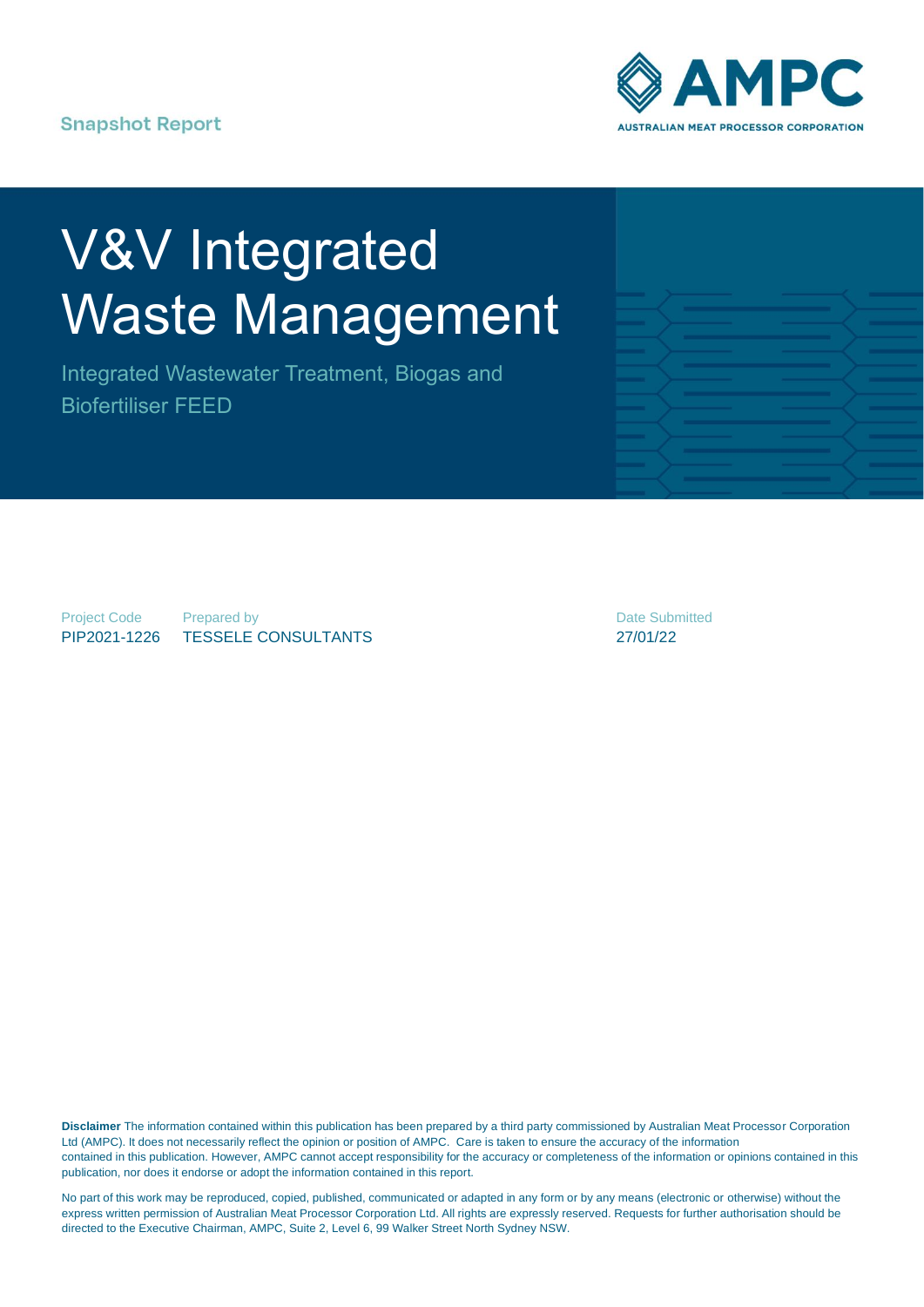**Snapshot Report** 



# V&V Integrated Waste Management

Integrated Wastewater Treatment, Biogas and Biofertiliser FEED



Project Code PIP2021-1226

Prepared by TESSELE CONSULTANTS Date Submitted 27/01/22

**Disclaimer** The information contained within this publication has been prepared by a third party commissioned by Australian Meat Processor Corporation Ltd (AMPC). It does not necessarily reflect the opinion or position of AMPC. Care is taken to ensure the accuracy of the information contained in this publication. However, AMPC cannot accept responsibility for the accuracy or completeness of the information or opinions contained in this publication, nor does it endorse or adopt the information contained in this report.

No part of this work may be reproduced, copied, published, communicated or adapted in any form or by any means (electronic or otherwise) without the express written permission of Australian Meat Processor Corporation Ltd. All rights are expressly reserved. Requests for further authorisation should be directed to the Executive Chairman, AMPC, Suite 2, Level 6, 99 Walker Street North Sydney NSW.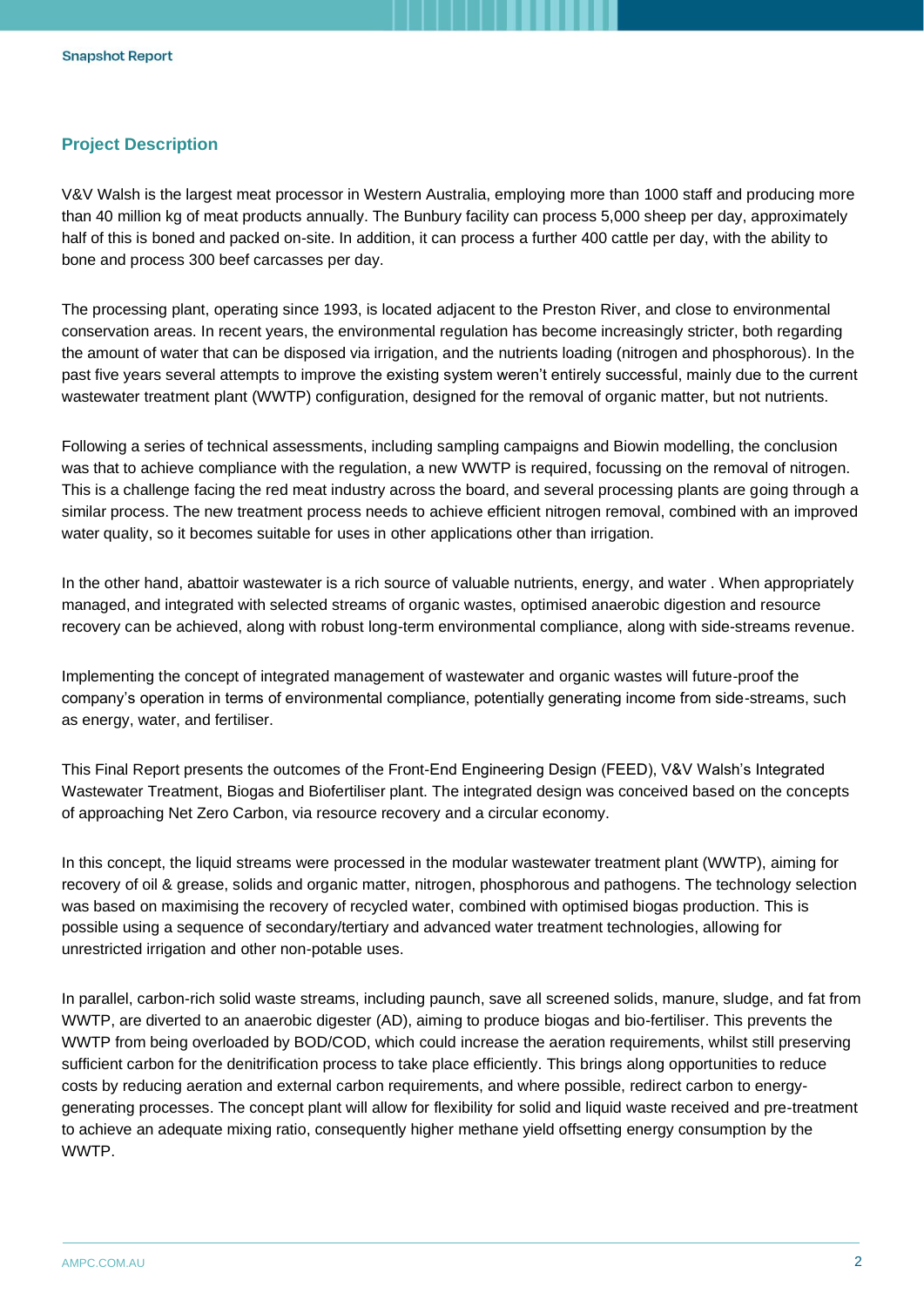# **Project Description**

V&V Walsh is the largest meat processor in Western Australia, employing more than 1000 staff and producing more than 40 million kg of meat products annually. The Bunbury facility can process 5,000 sheep per day, approximately half of this is boned and packed on-site. In addition, it can process a further 400 cattle per day, with the ability to bone and process 300 beef carcasses per day.

The processing plant, operating since 1993, is located adjacent to the Preston River, and close to environmental conservation areas. In recent years, the environmental regulation has become increasingly stricter, both regarding the amount of water that can be disposed via irrigation, and the nutrients loading (nitrogen and phosphorous). In the past five years several attempts to improve the existing system weren't entirely successful, mainly due to the current wastewater treatment plant (WWTP) configuration, designed for the removal of organic matter, but not nutrients.

Following a series of technical assessments, including sampling campaigns and Biowin modelling, the conclusion was that to achieve compliance with the regulation, a new WWTP is required, focussing on the removal of nitrogen. This is a challenge facing the red meat industry across the board, and several processing plants are going through a similar process. The new treatment process needs to achieve efficient nitrogen removal, combined with an improved water quality, so it becomes suitable for uses in other applications other than irrigation.

In the other hand, abattoir wastewater is a rich source of valuable nutrients, energy, and water . When appropriately managed, and integrated with selected streams of organic wastes, optimised anaerobic digestion and resource recovery can be achieved, along with robust long-term environmental compliance, along with side-streams revenue.

Implementing the concept of integrated management of wastewater and organic wastes will future-proof the company's operation in terms of environmental compliance, potentially generating income from side-streams, such as energy, water, and fertiliser.

This Final Report presents the outcomes of the Front-End Engineering Design (FEED), V&V Walsh's Integrated Wastewater Treatment, Biogas and Biofertiliser plant. The integrated design was conceived based on the concepts of approaching Net Zero Carbon, via resource recovery and a circular economy.

In this concept, the liquid streams were processed in the modular wastewater treatment plant (WWTP), aiming for recovery of oil & grease, solids and organic matter, nitrogen, phosphorous and pathogens. The technology selection was based on maximising the recovery of recycled water, combined with optimised biogas production. This is possible using a sequence of secondary/tertiary and advanced water treatment technologies, allowing for unrestricted irrigation and other non-potable uses.

In parallel, carbon-rich solid waste streams, including paunch, save all screened solids, manure, sludge, and fat from WWTP, are diverted to an anaerobic digester (AD), aiming to produce biogas and bio-fertiliser. This prevents the WWTP from being overloaded by BOD/COD, which could increase the aeration requirements, whilst still preserving sufficient carbon for the denitrification process to take place efficiently. This brings along opportunities to reduce costs by reducing aeration and external carbon requirements, and where possible, redirect carbon to energygenerating processes. The concept plant will allow for flexibility for solid and liquid waste received and pre-treatment to achieve an adequate mixing ratio, consequently higher methane yield offsetting energy consumption by the **WWTP**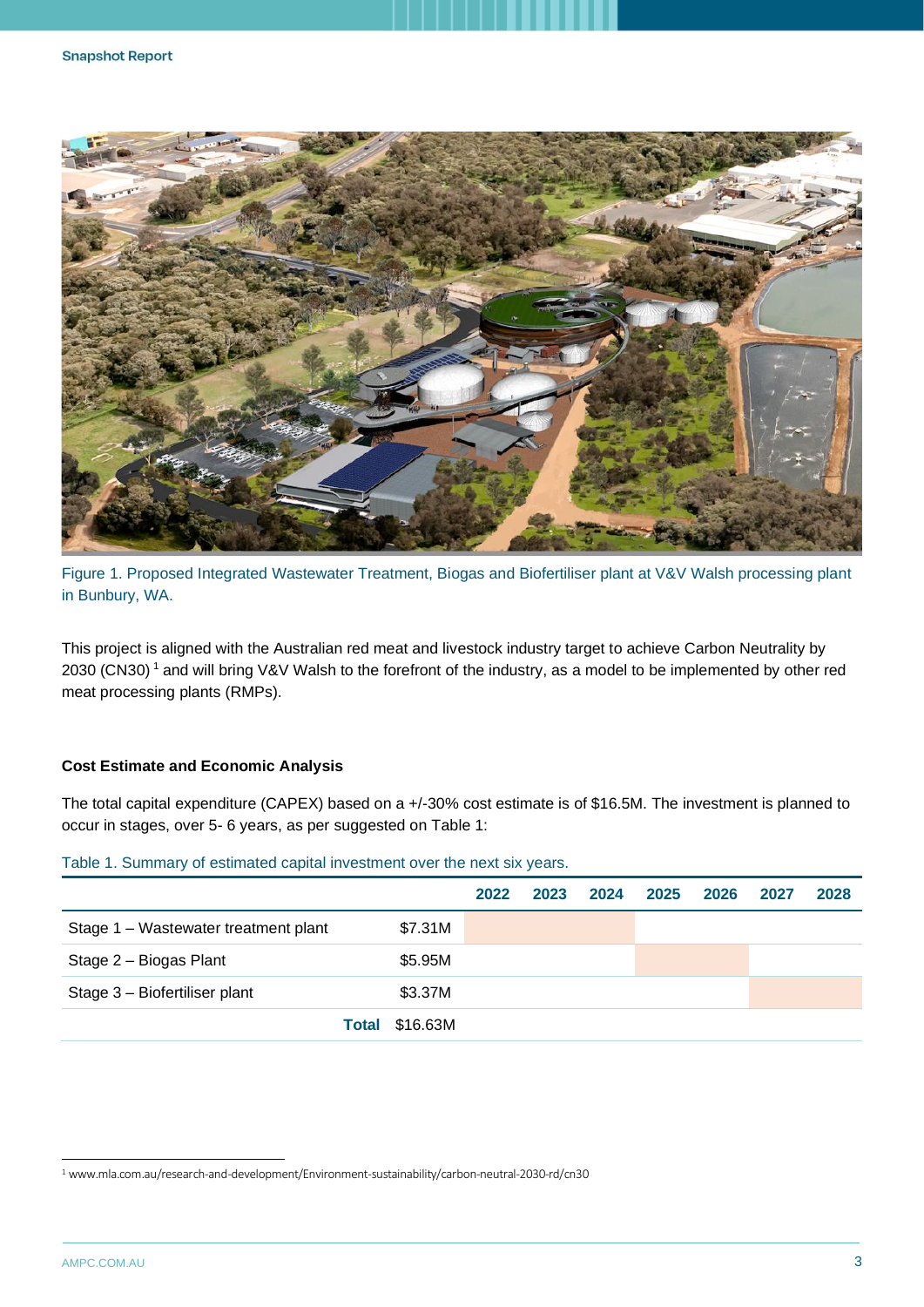

Figure 1. Proposed Integrated Wastewater Treatment, Biogas and Biofertiliser plant at V&V Walsh processing plant in Bunbury, WA.

This project is aligned with the Australian red meat and livestock industry target to achieve Carbon Neutrality by 2030 (CN30)<sup>1</sup> and will bring V&V Walsh to the forefront of the industry, as a model to be implemented by other red meat processing plants (RMPs).

#### **Cost Estimate and Economic Analysis**

The total capital expenditure (CAPEX) based on a +/-30% cost estimate is of \$16.5M. The investment is planned to occur in stages, over 5- 6 years, as per suggested on [Table 1:](#page-2-0)

|                                      |          | 2022 | 2023 2024 2025 | 2026 | 2027 | 2028 |
|--------------------------------------|----------|------|----------------|------|------|------|
| Stage 1 – Wastewater treatment plant | \$7.31M  |      |                |      |      |      |
| Stage 2 - Biogas Plant               | \$5.95M  |      |                |      |      |      |
| Stage 3 - Biofertiliser plant        | \$3.37M  |      |                |      |      |      |
| Total                                | \$16.63M |      |                |      |      |      |

#### <span id="page-2-0"></span>Table 1. Summary of estimated capital investment over the next six years.

<sup>1</sup> www.mla.com.au/research-and-development/Environment-sustainability/carbon-neutral-2030-rd/cn30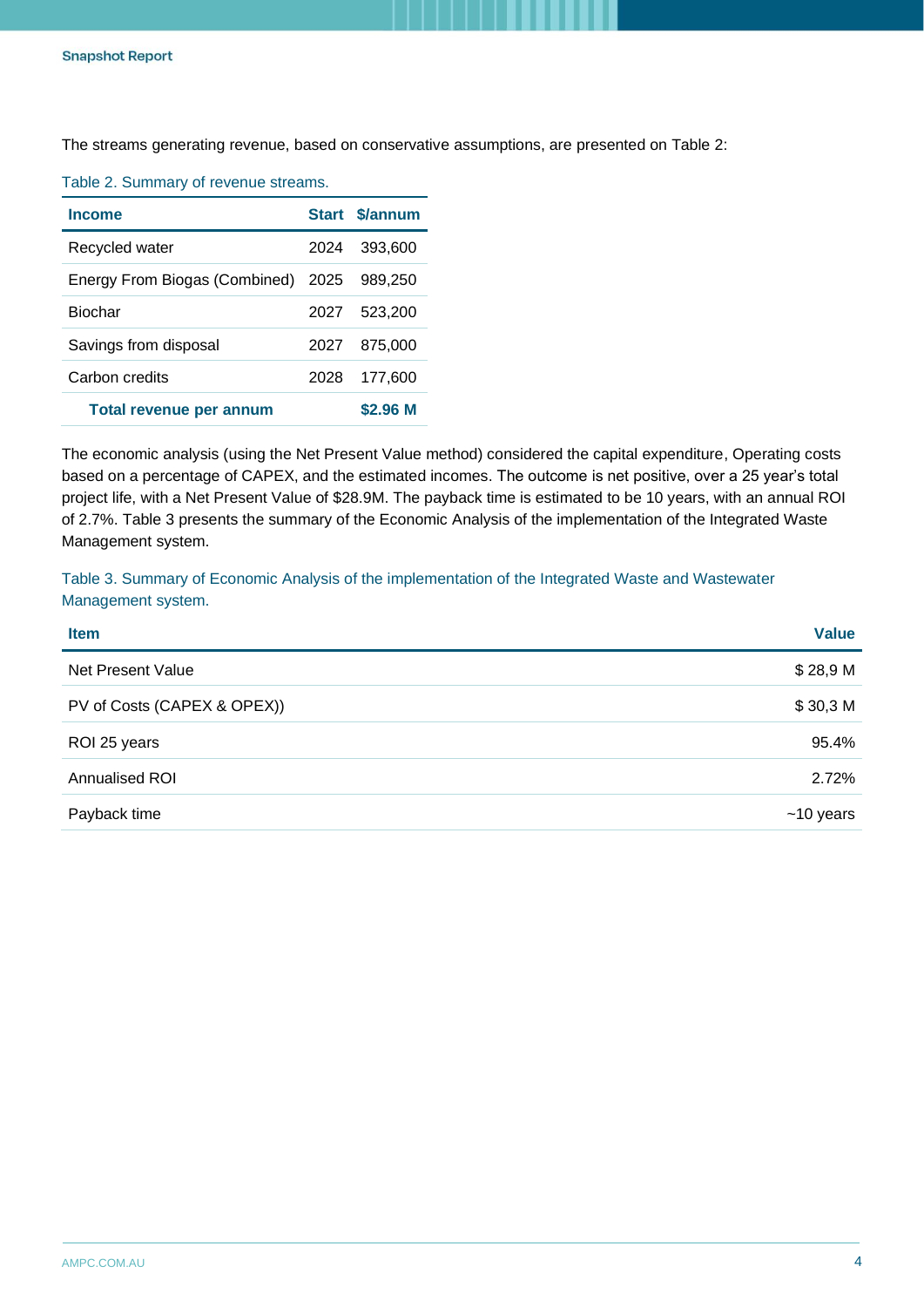The streams generating revenue, based on conservative assumptions, are presented on [Table 2:](#page-3-0)

| <b>Income</b>                      |      | Start \$/annum |
|------------------------------------|------|----------------|
| Recycled water                     | 2024 | 393,600        |
| Energy From Biogas (Combined) 2025 |      | 989.250        |
| <b>Biochar</b>                     | 2027 | 523.200        |
| Savings from disposal              | 2027 | 875,000        |
| Carbon credits                     | 2028 | 177.600        |
| Total revenue per annum            |      | \$2.96 M       |

<span id="page-3-0"></span>Table 2. Summary of revenue streams.

The economic analysis (using the Net Present Value method) considered the capital expenditure, Operating costs based on a percentage of CAPEX, and the estimated incomes. The outcome is net positive, over a 25 year's total project life, with a Net Present Value of \$28.9M. The payback time is estimated to be 10 years, with an annual ROI of 2.7%. [Table 3](#page-3-1) presents the summary of the Economic Analysis of the implementation of the Integrated Waste Management system.

<span id="page-3-1"></span>Table 3. Summary of Economic Analysis of the implementation of the Integrated Waste and Wastewater Management system.

| <b>Item</b>                 | <b>Value</b> |
|-----------------------------|--------------|
| Net Present Value           | \$28,9 M     |
| PV of Costs (CAPEX & OPEX)) | \$30,3 M     |
| ROI 25 years                | 95.4%        |
| Annualised ROI              | 2.72%        |
| Payback time                | $~10$ years  |
|                             |              |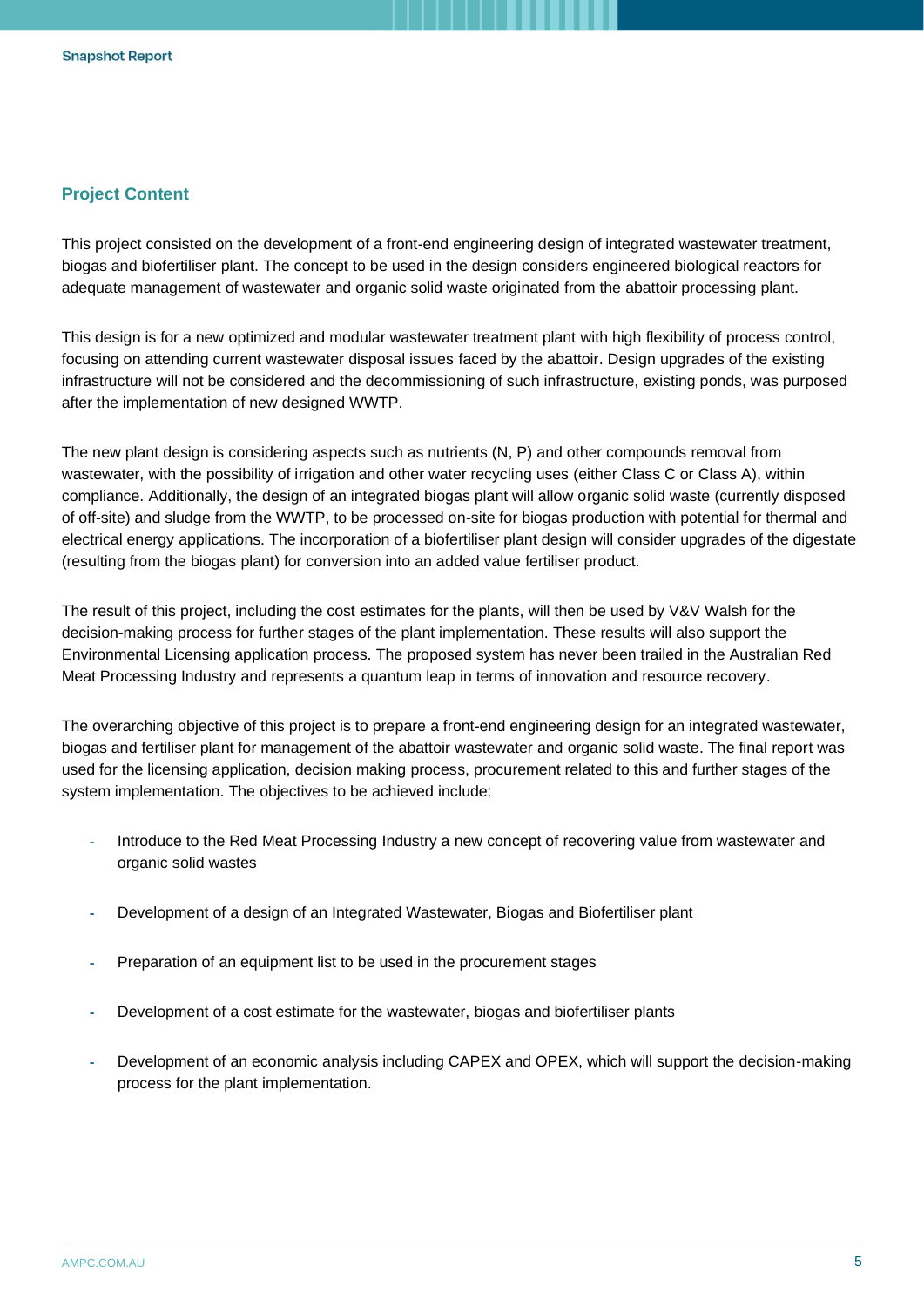# **Project Content**

This project consisted on the development of a front-end engineering design of integrated wastewater treatment, biogas and biofertiliser plant. The concept to be used in the design considers engineered biological reactors for adequate management of wastewater and organic solid waste originated from the abattoir processing plant.

This design is for a new optimized and modular wastewater treatment plant with high flexibility of process control, focusing on attending current wastewater disposal issues faced by the abattoir. Design upgrades of the existing infrastructure will not be considered and the decommissioning of such infrastructure, existing ponds, was purposed after the implementation of new designed WWTP.

The new plant design is considering aspects such as nutrients (N, P) and other compounds removal from wastewater, with the possibility of irrigation and other water recycling uses (either Class C or Class A), within compliance. Additionally, the design of an integrated biogas plant will allow organic solid waste (currently disposed of off-site) and sludge from the WWTP, to be processed on-site for biogas production with potential for thermal and electrical energy applications. The incorporation of a biofertiliser plant design will consider upgrades of the digestate (resulting from the biogas plant) for conversion into an added value fertiliser product.

The result of this project, including the cost estimates for the plants, will then be used by V&V Walsh for the decision-making process for further stages of the plant implementation. These results will also support the Environmental Licensing application process. The proposed system has never been trailed in the Australian Red Meat Processing Industry and represents a quantum leap in terms of innovation and resource recovery.

The overarching objective of this project is to prepare a front-end engineering design for an integrated wastewater, biogas and fertiliser plant for management of the abattoir wastewater and organic solid waste. The final report was used for the licensing application, decision making process, procurement related to this and further stages of the system implementation. The objectives to be achieved include:

- Introduce to the Red Meat Processing Industry a new concept of recovering value from wastewater and organic solid wastes
- Development of a design of an Integrated Wastewater, Biogas and Biofertiliser plant
- Preparation of an equipment list to be used in the procurement stages
- Development of a cost estimate for the wastewater, biogas and biofertiliser plants
- Development of an economic analysis including CAPEX and OPEX, which will support the decision-making process for the plant implementation.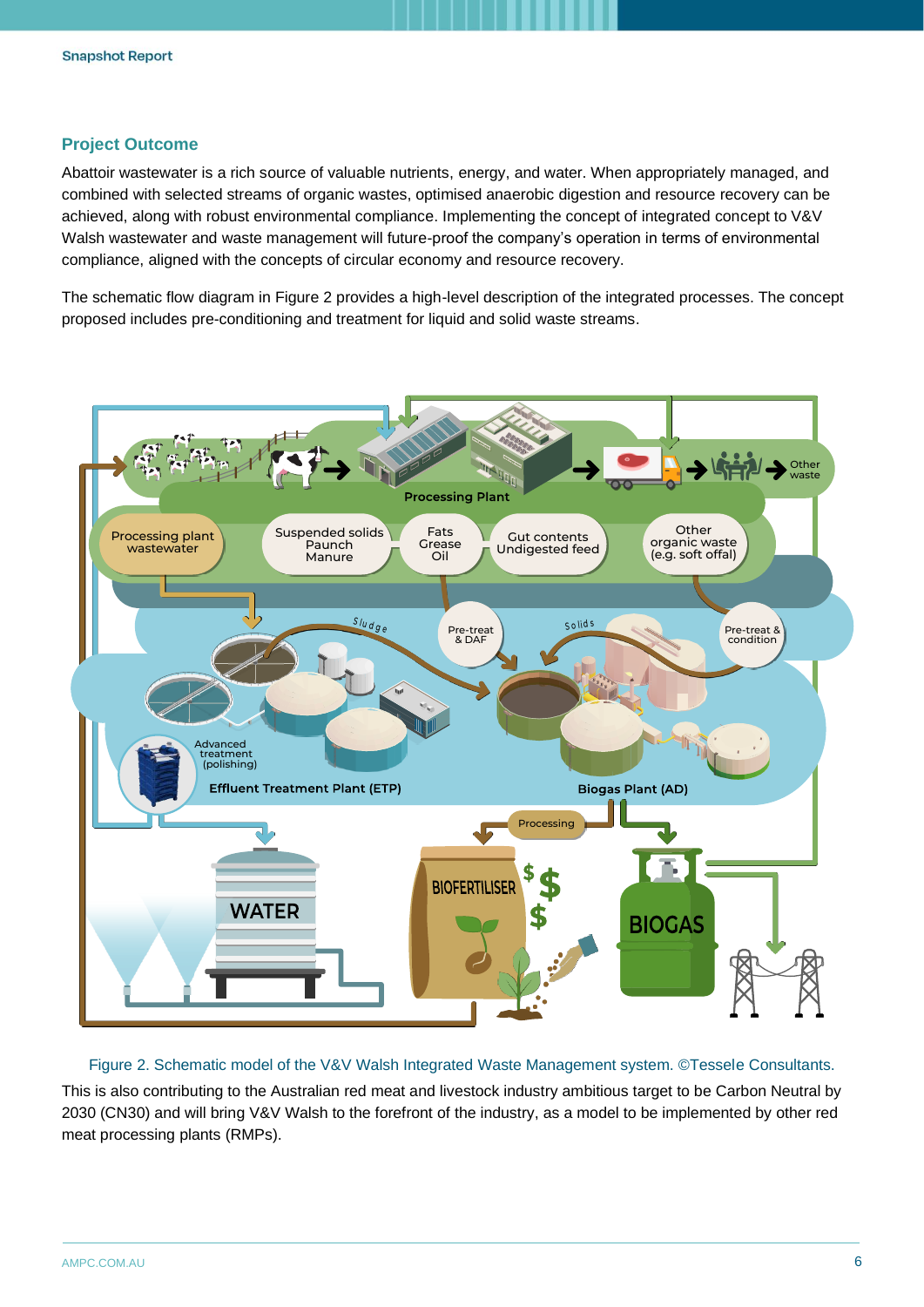# **Project Outcome**

Abattoir wastewater is a rich source of valuable nutrients, energy, and water. When appropriately managed, and combined with selected streams of organic wastes, optimised anaerobic digestion and resource recovery can be achieved, along with robust environmental compliance. Implementing the concept of integrated concept to V&V Walsh wastewater and waste management will future-proof the company's operation in terms of environmental compliance, aligned with the concepts of circular economy and resource recovery.

The schematic flow diagram in Figure 2 provides a high-level description of the integrated processes. The concept proposed includes pre-conditioning and treatment for liquid and solid waste streams.



Figure 2. Schematic model of the V&V Walsh Integrated Waste Management system. ©Tessele Consultants. This is also contributing to the Australian red meat and livestock industry ambitious target to be Carbon Neutral by 2030 (CN30) and will bring V&V Walsh to the forefront of the industry, as a model to be implemented by other red meat processing plants (RMPs).